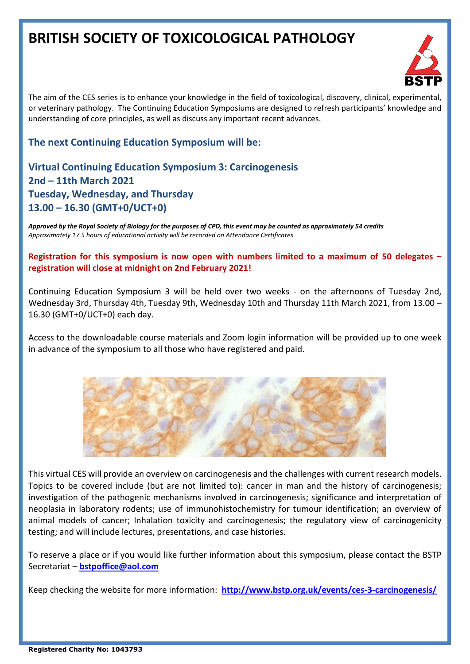# **BRITISH SOCIETY OF TOXICOLOGICAL PATHOLOGY**



The aim of the CES series is to enhance your knowledge in the field of toxicological, discovery, clinical, experimental, or veterinary pathology. The Continuing Education Symposiums are designed to refresh participants' knowledge and understanding of core principles, as well as discuss any important recent advances.

### **The next Continuing Education Symposium will be:**

# **Virtual Continuing Education Symposium 3: Carcinogenesis 2nd – 11th March 2021 Tuesday, Wednesday, and Thursday 13.00 – 16.30 (GMT+0/UCT+0)**

*Approved by the Royal Society of Biology for the purposes of CPD, this event may be counted as approximately 54 credits Approximately 17.5 hours of educational activity will be recorded on Attendance Certificates*

**Registration for this symposium is now open with numbers limited to a maximum of 50 delegates – registration will close at midnight on 2nd February 2021!**

Continuing Education Symposium 3 will be held over two weeks - on the afternoons of Tuesday 2nd, Wednesday 3rd, Thursday 4th, Tuesday 9th, Wednesday 10th and Thursday 11th March 2021, from 13.00 – 16.30 (GMT+0/UCT+0) each day.

Access to the downloadable course materials and Zoom login information will be provided up to one week in advance of the symposium to all those who have registered and paid.



This virtual CES will provide an overview on carcinogenesis and the challenges with current research models. Topics to be covered include (but are not limited to): cancer in man and the history of carcinogenesis; investigation of the pathogenic mechanisms involved in carcinogenesis; significance and interpretation of neoplasia in laboratory rodents; use of immunohistochemistry for tumour identification; an overview of animal models of cancer; Inhalation toxicity and carcinogenesis; the regulatory view of carcinogenicity testing; and will include lectures, presentations, and case histories.

To reserve a place or if you would like further information about this symposium, please contact the BSTP Secretariat – **[bstpoffice@aol.com](about:blank)**

Keep checking the website for more information: **[http://www.bstp.org.uk/events/ces-3-carcinogenesis/](about:blank)**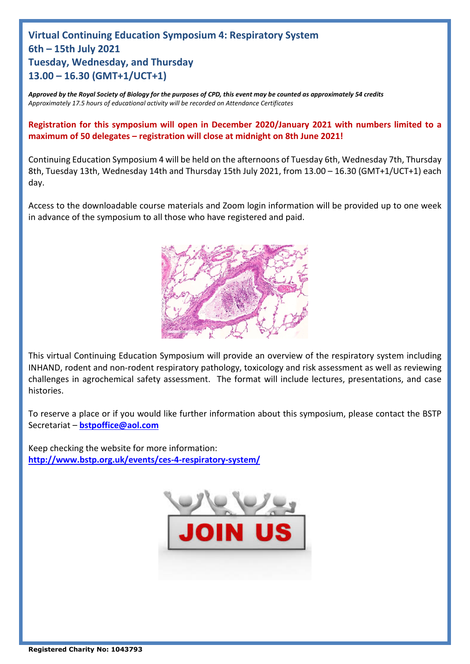# **Virtual Continuing Education Symposium 4: Respiratory System 6th – 15th July 2021 Tuesday, Wednesday, and Thursday 13.00 – 16.30 (GMT+1/UCT+1)**

*Approved by the Royal Society of Biology for the purposes of CPD, this event may be counted as approximately 54 credits Approximately 17.5 hours of educational activity will be recorded on Attendance Certificates*

**Registration for this symposium will open in December 2020/January 2021 with numbers limited to a maximum of 50 delegates – registration will close at midnight on 8th June 2021!**

Continuing Education Symposium 4 will be held on the afternoons of Tuesday 6th, Wednesday 7th, Thursday 8th, Tuesday 13th, Wednesday 14th and Thursday 15th July 2021, from 13.00 – 16.30 (GMT+1/UCT+1) each day.

Access to the downloadable course materials and Zoom login information will be provided up to one week in advance of the symposium to all those who have registered and paid.



This virtual Continuing Education Symposium will provide an overview of the respiratory system including INHAND, rodent and non-rodent respiratory pathology, toxicology and risk assessment as well as reviewing challenges in agrochemical safety assessment. The format will include lectures, presentations, and case histories.

To reserve a place or if you would like further information about this symposium, please contact the BSTP Secretariat – **[bstpoffice@aol.com](about:blank)**

Keep checking the website for more information: **[http://www.bstp.org.uk/events/ces-4-respiratory-system/](about:blank)**

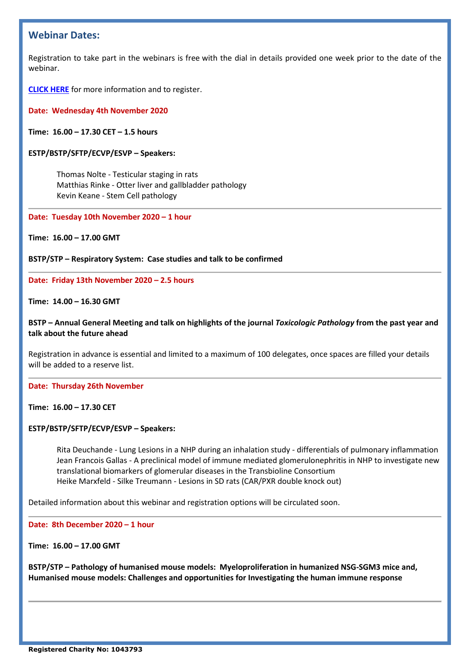### **Webinar Dates:**

Registration to take part in the webinars is free with the dial in details provided one week prior to the date of the webinar.

**[CLICK HERE](http://www.bstp.org.uk/bstp-webinars/)** for more information and to register.

#### **Date: Wednesday 4th November 2020**

**Time: 16.00 – 17.30 CET – 1.5 hours**

#### **ESTP/BSTP/SFTP/ECVP/ESVP – Speakers:**

Thomas Nolte - Testicular staging in rats Matthias Rinke - Otter liver and gallbladder pathology Kevin Keane - Stem Cell pathology

#### **Date: Tuesday 10th November 2020 – 1 hour**

**Time: 16.00 – 17.00 GMT**

**BSTP/STP – Respiratory System: Case studies and talk to be confirmed**

#### **Date: Friday 13th November 2020 – 2.5 hours**

#### **Time: 14.00 – 16.30 GMT**

#### **BSTP – Annual General Meeting and talk on highlights of the journal** *Toxicologic Pathology* **from the past year and talk about the future ahead**

Registration in advance is essential and limited to a maximum of 100 delegates, once spaces are filled your details will be added to a reserve list.

#### **Date: Thursday 26th November**

**Time: 16.00 – 17.30 CET**

#### **ESTP/BSTP/SFTP/ECVP/ESVP – Speakers:**

Rita Deuchande - Lung Lesions in a NHP during an inhalation study - differentials of pulmonary inflammation Jean Francois Gallas - A preclinical model of immune mediated glomerulonephritis in NHP to investigate new translational biomarkers of glomerular diseases in the Transbioline Consortium Heike Marxfeld - Silke Treumann - Lesions in SD rats (CAR/PXR double knock out)

Detailed information about this webinar and registration options will be circulated soon.

**Date: 8th December 2020 – 1 hour**

**Time: 16.00 – 17.00 GMT**

**BSTP/STP – Pathology of humanised mouse models: Myeloproliferation in humanized NSG-SGM3 mice and, Humanised mouse models: Challenges and opportunities for Investigating the human immune response**